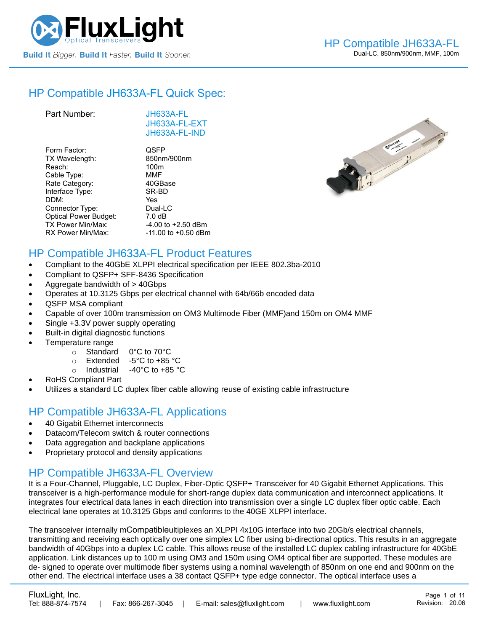

# HP Compatible [JH633A-FL](https://www.fluxlight.com/) Quick Spec:

| Part Number:                 | JH633A-FL<br>JH633A-FL-EXT<br>JH633A-FL-IND |
|------------------------------|---------------------------------------------|
| Form Factor:                 | QSFP                                        |
| TX Wavelength:               | 850nm/900nm                                 |
| Reach:                       | 100 <sub>m</sub>                            |
| Cable Type:                  | MMF                                         |
| Rate Category:               | 40GBase                                     |
| Interface Type:              | SR-BD                                       |
| DDM:                         | Yes                                         |
| Connector Type:              | Dual-LC                                     |
| <b>Optical Power Budget:</b> | 7.0 dB                                      |
| TX Power Min/Max:            | $-4.00$ to $+2.50$ dBm                      |
| RX Power Min/Max:            | $-11.00$ to $+0.50$ dBm                     |



### HP Compatible [JH633A-FL](https://www.fluxlight.com/) Product Features

- Compliant to the 40GbE XLPPI electrical specification per IEEE 802.3ba-2010
- Compliant to QSFP+ SFF-8436 Specification
- Aggregate bandwidth of > 40Gbps
- Operates at 10.3125 Gbps per electrical channel with 64b/66b encoded data
- QSFP MSA compliant
- Capable of over 100m transmission on OM3 Multimode Fiber (MMF)and 150m on OM4 MMF
- Single +3.3V power supply operating
- Built-in digital diagnostic functions
- Temperature range
	- o Standard 0°C to 70°C
	- o Extended -5°C to +85 °C
	- o Industrial -40°C to +85 °C
- RoHS Compliant Part
- Utilizes a standard LC duplex fiber cable allowing reuse of existing cable infrastructure

### HP Compatible [JH633A-FL](https://www.fluxlight.com/) Applications

- 40 Gigabit Ethernet interconnects
- Datacom/Telecom switch & router connections
- Data aggregation and backplane applications
- Proprietary protocol and density applications

### HP Compatible [JH633A-FL](https://www.fluxlight.com/) Overview

It is a Four-Channel, Pluggable, LC Duplex, Fiber-Optic QSFP+ Transceiver for 40 Gigabit Ethernet Applications. This transceiver is a high-performance module for short-range duplex data communication and interconnect applications. It integrates four electrical data lanes in each direction into transmission over a single LC duplex fiber optic cable. Each electrical lane operates at 10.3125 Gbps and conforms to the 40GE XLPPI interface.

The transceiver internally mCompatibleultiplexes an XLPPI 4x10G interface into two 20Gb/s electrical channels, transmitting and receiving each optically over one simplex LC fiber using bi-directional optics. This results in an aggregate bandwidth of 40Gbps into a duplex LC cable. This allows reuse of the installed LC duplex cabling infrastructure for 40GbE application. Link distances up to 100 m using OM3 and 150m using OM4 optical fiber are supported. These modules are de- signed to operate over multimode fiber systems using a nominal wavelength of 850nm on one end and 900nm on the other end. The electrical interface uses a 38 contact QSFP+ type edge connector. The optical interface uses a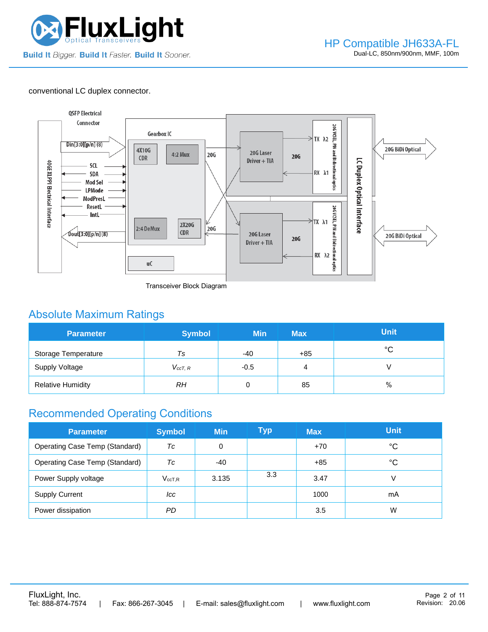

#### conventional LC duplex connector.



Transceiver Block Diagram

### Absolute Maximum Ratings

| <b>Parameter</b>         | <b>Symbol</b> | <b>Min</b> | <b>Max</b> | <b>Unit</b> |
|--------------------------|---------------|------------|------------|-------------|
| Storage Temperature      | Ts            | $-40$      | $+85$      | $^{\circ}C$ |
| <b>Supply Voltage</b>    | $V_{ccT, R}$  | $-0.5$     | 4          |             |
| <b>Relative Humidity</b> | RΗ            |            | 85         | %           |

### Recommended Operating Conditions

| <b>Parameter</b>                      | <b>Symbol</b>   | <b>Min</b> | Typ | <b>Max</b> | <b>Unit</b> |
|---------------------------------------|-----------------|------------|-----|------------|-------------|
| <b>Operating Case Temp (Standard)</b> | Тc              | 0          |     | $+70$      | °C          |
| Operating Case Temp (Standard)        | Тc              | -40        |     | $+85$      | °C          |
| Power Supply voltage                  | $V_{\rm ccT,R}$ | 3.135      | 3.3 | 3.47       |             |
| <b>Supply Current</b>                 | lcc             |            |     | 1000       | mA          |
| Power dissipation                     | PD.             |            |     | 3.5        | W           |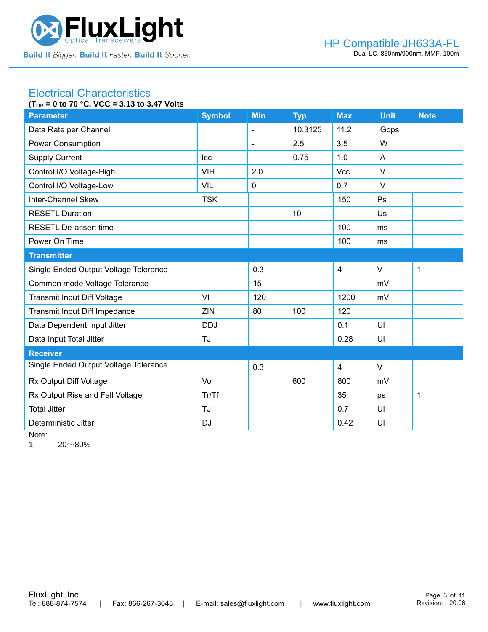

#### Electrical Characteristics **(TOP = 0 to 70 °C, VCC = 3.13 to 3.47 Volts**

| (1 OP = 0 to 70 U, VUU = 3.13 to 3.47 VOItS<br><b>Parameter</b> | <b>Symbol</b> | <b>Min</b> | <b>Typ</b> | <b>Max</b>     | <b>Unit</b> | <b>Note</b>  |
|-----------------------------------------------------------------|---------------|------------|------------|----------------|-------------|--------------|
| Data Rate per Channel                                           |               | ä,         | 10.3125    | 11.2           | Gbps        |              |
| <b>Power Consumption</b>                                        |               | ÷          | 2.5        | 3.5            | W           |              |
| <b>Supply Current</b>                                           | Icc           |            | 0.75       | 1.0            | A           |              |
| Control I/O Voltage-High                                        | <b>VIH</b>    | 2.0        |            | Vcc            | $\vee$      |              |
| Control I/O Voltage-Low                                         | <b>VIL</b>    | 0          |            | 0.7            | $\vee$      |              |
| Inter-Channel Skew                                              | <b>TSK</b>    |            |            | 150            | Ps          |              |
| <b>RESETL Duration</b>                                          |               |            | 10         |                | Us          |              |
| <b>RESETL De-assert time</b>                                    |               |            |            | 100            | ms          |              |
| Power On Time                                                   |               |            |            | 100            | ms          |              |
| <b>Transmitter</b>                                              |               |            |            |                |             |              |
| Single Ended Output Voltage Tolerance                           |               | 0.3        |            | $\overline{4}$ | $\vee$      | 1            |
| Common mode Voltage Tolerance                                   |               | 15         |            |                | mV          |              |
| <b>Transmit Input Diff Voltage</b>                              | VI            | 120        |            | 1200           | mV          |              |
| Transmit Input Diff Impedance                                   | ZIN           | 80         | 100        | 120            |             |              |
| Data Dependent Input Jitter                                     | <b>DDJ</b>    |            |            | 0.1            | UI          |              |
| Data Input Total Jitter                                         | <b>TJ</b>     |            |            | 0.28           | UI          |              |
| <b>Receiver</b>                                                 |               |            |            |                |             |              |
| Single Ended Output Voltage Tolerance                           |               | 0.3        |            | $\overline{4}$ | $\vee$      |              |
| Rx Output Diff Voltage                                          | Vo            |            | 600        | 800            | mV          |              |
| Rx Output Rise and Fall Voltage                                 | Tr/Tf         |            |            | 35             | ps          | $\mathbf{1}$ |
| <b>Total Jitter</b>                                             | <b>TJ</b>     |            |            | 0.7            | UI          |              |
| Deterministic Jitter                                            | <b>DJ</b>     |            |            | 0.42           | UI          |              |

Note:

1.  $20~80\%$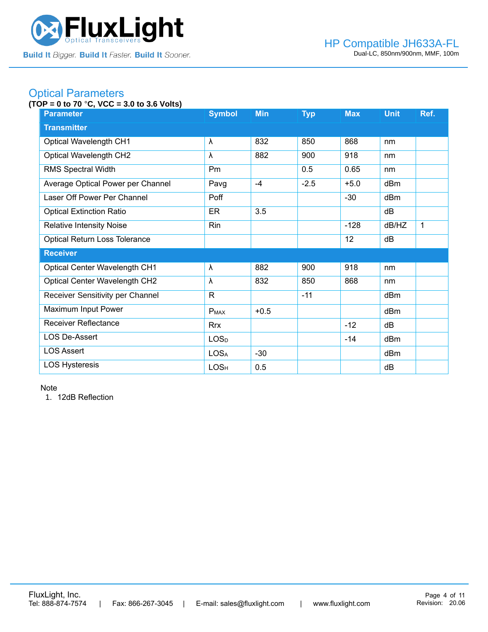

## Optical Parameters

#### **(TOP = 0 to 70** °**C, VCC = 3.0 to 3.6 Volts)**

| <b>Parameter</b>                     | <b>Symbol</b>    | <b>Min</b> | <b>Typ</b> | <b>Max</b> | <b>Unit</b> | Ref. |  |
|--------------------------------------|------------------|------------|------------|------------|-------------|------|--|
| <b>Transmitter</b>                   |                  |            |            |            |             |      |  |
| <b>Optical Wavelength CH1</b>        | $\lambda$        | 832        | 850        | 868        | nm          |      |  |
| <b>Optical Wavelength CH2</b>        | $\lambda$        | 882        | 900        | 918        | nm          |      |  |
| <b>RMS Spectral Width</b>            | Pm               |            | 0.5        | 0.65       | nm          |      |  |
| Average Optical Power per Channel    | Pavg             | $-4$       | $-2.5$     | $+5.0$     | dBm         |      |  |
| Laser Off Power Per Channel          | Poff             |            |            | $-30$      | dBm         |      |  |
| <b>Optical Extinction Ratio</b>      | ER               | 3.5        |            |            | dB          |      |  |
| <b>Relative Intensity Noise</b>      | Rin              |            |            | $-128$     | dB/HZ       | 1    |  |
| <b>Optical Return Loss Tolerance</b> |                  |            |            | 12         | dB          |      |  |
| <b>Receiver</b>                      |                  |            |            |            |             |      |  |
| <b>Optical Center Wavelength CH1</b> | λ                | 882        | 900        | 918        | nm          |      |  |
| Optical Center Wavelength CH2        | λ                | 832        | 850        | 868        | nm          |      |  |
| Receiver Sensitivity per Channel     | $\mathsf{R}$     |            | $-11$      |            | dBm         |      |  |
| Maximum Input Power                  | <b>PMAX</b>      | $+0.5$     |            |            | dBm         |      |  |
| <b>Receiver Reflectance</b>          | <b>Rrx</b>       |            |            | $-12$      | dB          |      |  |
| <b>LOS De-Assert</b>                 | LOS <sub>D</sub> |            |            | $-14$      | dBm         |      |  |
| <b>LOS Assert</b>                    | <b>LOSA</b>      | $-30$      |            |            | dBm         |      |  |
| <b>LOS Hysteresis</b>                | LOS <sub>H</sub> | 0.5        |            |            | dB          |      |  |

Note

1. 12dB Reflection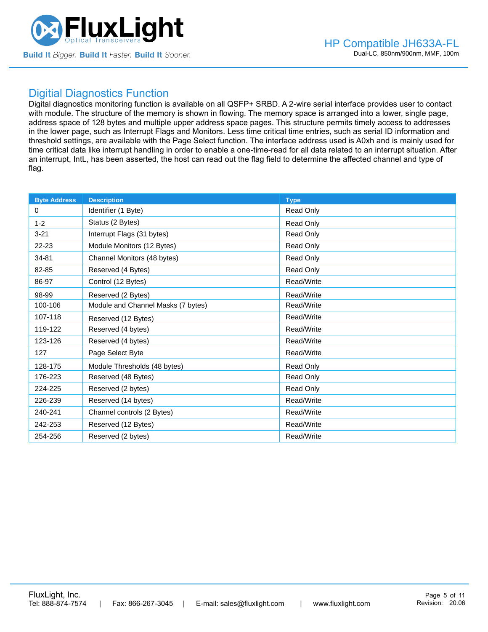

#### Digitial Diagnostics Function

Digital diagnostics monitoring function is available on all QSFP+ SRBD. A 2-wire serial interface provides user to contact with module. The structure of the memory is shown in flowing. The memory space is arranged into a lower, single page, address space of 128 bytes and multiple upper address space pages. This structure permits timely access to addresses in the lower page, such as Interrupt Flags and Monitors. Less time critical time entries, such as serial ID information and threshold settings, are available with the Page Select function. The interface address used is A0xh and is mainly used for time critical data like interrupt handling in order to enable a one-time-read for all data related to an interrupt situation. After an interrupt, IntL, has been asserted, the host can read out the flag field to determine the affected channel and type of flag.

| <b>Byte Address</b> | <b>Description</b>                 | <b>Type</b>      |
|---------------------|------------------------------------|------------------|
| $\Omega$            | Identifier (1 Byte)                | Read Only        |
| $1 - 2$             | Status (2 Bytes)                   | Read Only        |
| $3 - 21$            | Interrupt Flags (31 bytes)         | Read Only        |
| 22-23               | Module Monitors (12 Bytes)         | Read Only        |
| 34-81               | Channel Monitors (48 bytes)        | Read Only        |
| 82-85               | Reserved (4 Bytes)                 | Read Only        |
| 86-97               | Control (12 Bytes)                 | Read/Write       |
| 98-99               | Reserved (2 Bytes)                 | Read/Write       |
| 100-106             | Module and Channel Masks (7 bytes) | Read/Write       |
| 107-118             | Reserved (12 Bytes)                | Read/Write       |
| 119-122             | Reserved (4 bytes)                 | Read/Write       |
| 123-126             | Reserved (4 bytes)                 | Read/Write       |
| 127                 | Page Select Byte                   | Read/Write       |
| 128-175             | Module Thresholds (48 bytes)       | Read Only        |
| 176-223             | Reserved (48 Bytes)                | Read Only        |
| 224-225             | Reserved (2 bytes)                 | <b>Read Only</b> |
| 226-239             | Reserved (14 bytes)                | Read/Write       |
| 240-241             | Channel controls (2 Bytes)         | Read/Write       |
| 242-253             | Reserved (12 Bytes)                | Read/Write       |
| 254-256             | Reserved (2 bytes)                 | Read/Write       |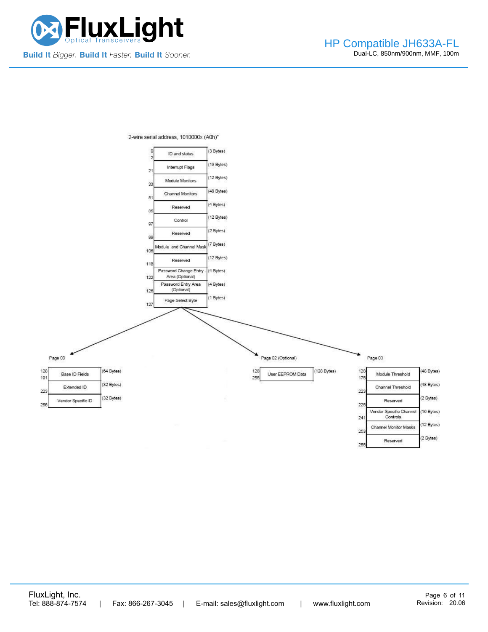



2-wire serial address, 1010000x (A0h)"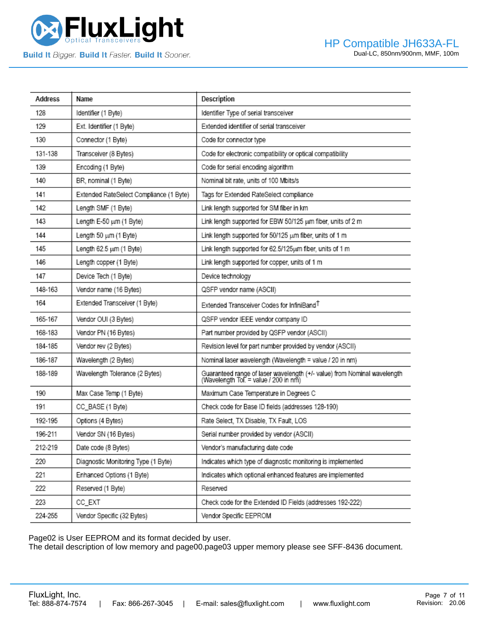

| Address | Name                                    | Description                                                                                                       |
|---------|-----------------------------------------|-------------------------------------------------------------------------------------------------------------------|
| 128     | Identifier (1 Byte)                     | Identifier Type of serial transceiver                                                                             |
| 129     | Ext. Identifier (1 Byte)                | Extended identifier of serial transceiver                                                                         |
| 130     | Connector (1 Byte)                      | Code for connector type                                                                                           |
| 131-138 | Transceiver (8 Bytes)                   | Code for electronic compatibility or optical compatibility                                                        |
| 139     | Encoding (1 Byte)                       | Code for serial encoding algorithm                                                                                |
| 140     | BR, nominal (1 Byte)                    | Nominal bit rate, units of 100 Mbits/s                                                                            |
| 141     | Extended RateSelect Compliance (1 Byte) | Tags for Extended RateSelect compliance                                                                           |
| 142     | Length SMF (1 Byte)                     | Link length supported for SM fiber in km                                                                          |
| 143     | Length E-50 um (1 Byte)                 | Link length supported for EBW 50/125 um fiber, units of 2 m                                                       |
| 144     | Length 50 um (1 Byte)                   | Link length supported for 50/125 um fiber, units of 1 m                                                           |
| 145     | Length 62.5 um (1 Byte)                 | Link length supported for 62.5/125um fiber, units of 1 m                                                          |
| 146     | Length copper (1 Byte)                  | Link length supported for copper, units of 1 m                                                                    |
| 147     | Device Tech (1 Byte)                    | Device technology                                                                                                 |
| 148-163 | Vendor name (16 Bytes)                  | QSFP vendor name (ASCII)                                                                                          |
| 164     | Extended Transceiver (1 Byte)           | Extended Transceiver Codes for InfiniBand <sup>T</sup>                                                            |
| 165-167 | Vendor OUI (3 Bytes)                    | QSFP vendor IEEE vendor company ID                                                                                |
| 168-183 | Vendor PN (16 Bytes)                    | Part number provided by QSFP vendor (ASCII)                                                                       |
| 184-185 | Vendor rev (2 Bytes)                    | Revision level for part number provided by vendor (ASCII)                                                         |
| 186-187 | Wavelength (2 Bytes)                    | Nominal laser wavelength (Wavelength = value / 20 in nm)                                                          |
| 188-189 | Wavelength Tolerance (2 Bytes)          | Guaranteed range of laser wavelength (+/- value) from Nominal wavelength<br>(Wavelength Tol. = value / 200 in nm) |
| 190     | Max Case Temp (1 Byte)                  | Maximum Case Temperature in Degrees C                                                                             |
| 191     | CC_BASE (1 Byte)                        | Check code for Base ID fields (addresses 128-190)                                                                 |
| 192-195 | Options (4 Bytes)                       | Rate Select, TX Disable, TX Fault, LOS                                                                            |
| 196-211 | Vendor SN (16 Bytes)                    | Serial number provided by vendor (ASCII)                                                                          |
| 212-219 | Date code (8 Bytes)                     | Vendor's manufacturing date code                                                                                  |
| 220     | Diagnostic Monitoring Type (1 Byte)     | Indicates which type of diagnostic monitoring is implemented                                                      |
| 221     | Enhanced Options (1 Byte)               | Indicates which optional enhanced features are implemented                                                        |
| 222     | Reserved (1 Byte)                       | Reserved                                                                                                          |
| 223     | CC_EXT                                  | Check code for the Extended ID Fields (addresses 192-222)                                                         |
| 224-255 | Vendor Specific (32 Bytes)              | Vendor Specific EEPROM                                                                                            |

Page02 is User EEPROM and its format decided by user.

The detail description of low memory and page00.page03 upper memory please see SFF-8436 document.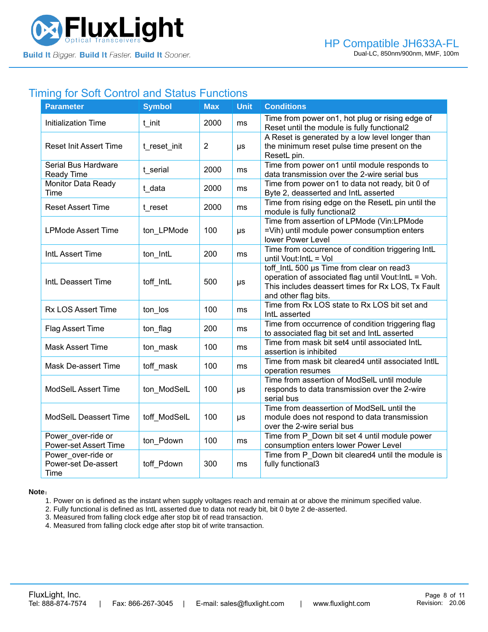

# Timing for Soft Control and Status Functions

| <b>Parameter</b>                                   | <b>Symbol</b> | Max            | <b>Unit</b> | <b>Conditions</b>                                                                                                                                                              |
|----------------------------------------------------|---------------|----------------|-------------|--------------------------------------------------------------------------------------------------------------------------------------------------------------------------------|
| <b>Initialization Time</b>                         | t init        | 2000           | ms          | Time from power on1, hot plug or rising edge of<br>Reset until the module is fully functional2                                                                                 |
| <b>Reset Init Assert Time</b>                      | t_reset_init  | $\overline{2}$ | $\mu s$     | A Reset is generated by a low level longer than<br>the minimum reset pulse time present on the<br>ResetL pin.                                                                  |
| Serial Bus Hardware<br><b>Ready Time</b>           | t serial      | 2000           | ms          | Time from power on1 until module responds to<br>data transmission over the 2-wire serial bus                                                                                   |
| Monitor Data Ready<br>Time                         | t data        | 2000           | ms          | Time from power on1 to data not ready, bit 0 of<br>Byte 2, deasserted and IntL asserted                                                                                        |
| <b>Reset Assert Time</b>                           | t reset       | 2000           | ms          | Time from rising edge on the ResetL pin until the<br>module is fully functional2                                                                                               |
| <b>LPMode Assert Time</b>                          | ton LPMode    | 100            | μs          | Time from assertion of LPMode (Vin:LPMode<br>=Vih) until module power consumption enters<br>lower Power Level                                                                  |
| IntL Assert Time                                   | ton_IntL      | 200            | ms          | Time from occurrence of condition triggering IntL<br>until Vout: IntL = Vol                                                                                                    |
| IntL Deassert Time                                 | toff IntL     | 500            | $\mu s$     | toff IntL 500 µs Time from clear on read3<br>operation of associated flag until Vout: IntL = Voh.<br>This includes deassert times for Rx LOS, Tx Fault<br>and other flag bits. |
| <b>Rx LOS Assert Time</b>                          | ton los       | 100            | ms          | Time from Rx LOS state to Rx LOS bit set and<br>IntL asserted                                                                                                                  |
| Flag Assert Time                                   | ton_flag      | 200            | ms          | Time from occurrence of condition triggering flag<br>to associated flag bit set and IntL asserted                                                                              |
| <b>Mask Assert Time</b>                            | ton_mask      | 100            | ms          | Time from mask bit set4 until associated IntL<br>assertion is inhibited                                                                                                        |
| Mask De-assert Time                                | toff mask     | 100            | ms          | Time from mask bit cleared4 until associated IntlL<br>operation resumes                                                                                                        |
| <b>ModSelL Assert Time</b>                         | ton_ModSelL   | 100            | μs          | Time from assertion of ModSelL until module<br>responds to data transmission over the 2-wire<br>serial bus                                                                     |
| ModSelL Deassert Time                              | toff ModSelL  | 100            | μs          | Time from deassertion of ModSelL until the<br>module does not respond to data transmission<br>over the 2-wire serial bus                                                       |
| Power over-ride or<br><b>Power-set Assert Time</b> | ton_Pdown     | 100            | ms          | Time from P Down bit set 4 until module power<br>consumption enters lower Power Level                                                                                          |
| Power_over-ride or<br>Power-set De-assert<br>Time  | toff_Pdown    | 300            | ms          | Time from P Down bit cleared4 until the module is<br>fully functional3                                                                                                         |

**Note**:

1. Power on is defined as the instant when supply voltages reach and remain at or above the minimum specified value.

- 2. Fully functional is defined as IntL asserted due to data not ready bit, bit 0 byte 2 de-asserted.
- 3. Measured from falling clock edge after stop bit of read transaction.
- 4. Measured from falling clock edge after stop bit of write transaction.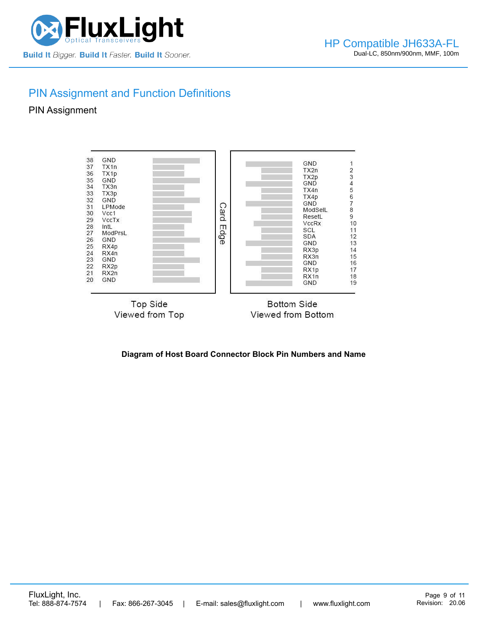

# PIN Assignment and Function Definitions

#### PIN Assignment



#### **Diagram of Host Board Connector Block Pin Numbers and Name**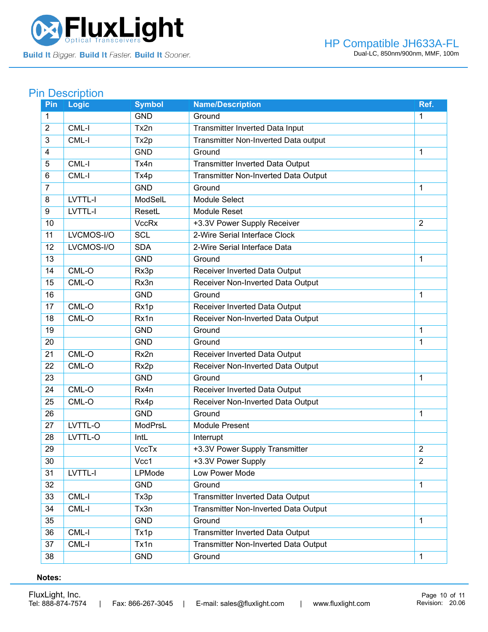

# **Pin Description**

| Pin             | <b>Logic</b> | <b>Symbol</b> | <b>Name/Description</b>                     | Ref.           |
|-----------------|--------------|---------------|---------------------------------------------|----------------|
| 1               |              | <b>GND</b>    | Ground                                      | 1              |
| $\overline{2}$  | CML-I        | Tx2n          | Transmitter Inverted Data Input             |                |
| $\overline{3}$  | CML-I        | Tx2p          | Transmitter Non-Inverted Data output        |                |
| $\overline{4}$  |              | <b>GND</b>    | Ground                                      | $\mathbf{1}$   |
| 5               | CML-I        | Tx4n          | Transmitter Inverted Data Output            |                |
| 6               | CML-I        | Tx4p          | <b>Transmitter Non-Inverted Data Output</b> |                |
| $\overline{7}$  |              | <b>GND</b>    | Ground                                      | 1              |
| 8               | LVTTL-I      | ModSelL       | Module Select                               |                |
| 9               | LVTTL-I      | ResetL        | <b>Module Reset</b>                         |                |
| 10              |              | <b>VccRx</b>  | +3.3V Power Supply Receiver                 | $\overline{2}$ |
| 11              | LVCMOS-I/O   | <b>SCL</b>    | 2-Wire Serial Interface Clock               |                |
| 12              | LVCMOS-I/O   | <b>SDA</b>    | 2-Wire Serial Interface Data                |                |
| 13              |              | <b>GND</b>    | Ground                                      | $\mathbf{1}$   |
| 14              | CML-O        | Rx3p          | Receiver Inverted Data Output               |                |
| 15              | CML-O        | Rx3n          | Receiver Non-Inverted Data Output           |                |
| 16              |              | <b>GND</b>    | Ground                                      | 1              |
| 17              | CML-O        | Rx1p          | Receiver Inverted Data Output               |                |
| 18              | CML-O        | Rx1n          | Receiver Non-Inverted Data Output           |                |
| 19              |              | <b>GND</b>    | Ground                                      | $\mathbf{1}$   |
| 20              |              | <b>GND</b>    | Ground                                      | 1              |
| 21              | CML-O        | Rx2n          | Receiver Inverted Data Output               |                |
| 22              | CML-O        | Rx2p          | Receiver Non-Inverted Data Output           |                |
| $\overline{23}$ |              | <b>GND</b>    | Ground                                      | 1              |
| 24              | CML-O        | Rx4n          | Receiver Inverted Data Output               |                |
| 25              | CML-O        | Rx4p          | Receiver Non-Inverted Data Output           |                |
| 26              |              | <b>GND</b>    | Ground                                      | 1              |
| 27              | LVTTL-O      | ModPrsL       | <b>Module Present</b>                       |                |
| 28              | LVTTL-O      | IntL          | Interrupt                                   |                |
| 29              |              | <b>VccTx</b>  | +3.3V Power Supply Transmitter              | $\overline{2}$ |
| 30              |              | Vcc1          | +3.3V Power Supply                          | 2              |
| 31              | LVTTL-I      | LPMode        | Low Power Mode                              |                |
| 32              |              | <b>GND</b>    | Ground                                      | $\mathbf{1}$   |
| 33              | CML-I        | Tx3p          | Transmitter Inverted Data Output            |                |
| 34              | CML-I        | Tx3n          | Transmitter Non-Inverted Data Output        |                |
| 35              |              | <b>GND</b>    | Ground                                      | $\mathbf{1}$   |
| 36              | CML-I        | Tx1p          | <b>Transmitter Inverted Data Output</b>     |                |
| 37              | CML-I        | Tx1n          | <b>Transmitter Non-Inverted Data Output</b> |                |
| 38              |              | <b>GND</b>    | Ground                                      | $\mathbf{1}$   |
|                 |              |               |                                             |                |

#### **Notes:**